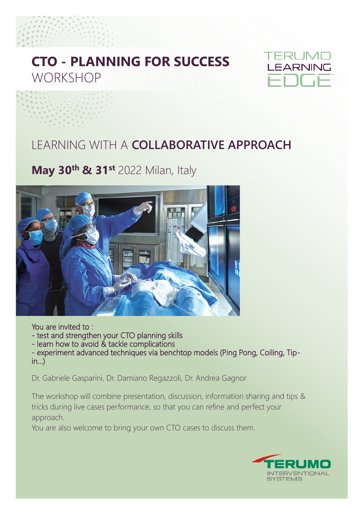## **CTO - PLANNING FOR SUCCESS WORKSHOP**



### LEARNING WITH A **COLLABORATIVE APPROACH**

### **May 30th & 31st** 2022 Milan, Italy



#### You are invited to :

- test and strengthen your CTO planning skills
- learn how to avoid & tackle complications

- experiment advanced techniques via benchtop models (Ping Pong, Coiling, Tip $in...$ )

Dr. Gabriele Gasparini, Dr. Damiano Regazzoli, Dr. Andrea Gagnor

The workshop will combine presentation, discussion, information sharing and tips & tricks during live cases performance, so that you can refine and perfect your approach.

You are also welcome to bring your own CTO cases to discuss them.